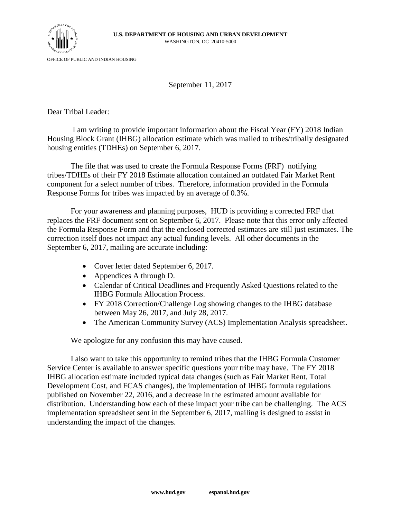

OFFICE OF PUBLIC AND INDIAN HOUSING

September 11, 2017

Dear Tribal Leader:

I am writing to provide important information about the Fiscal Year (FY) 2018 Indian Housing Block Grant (IHBG) allocation estimate which was mailed to tribes/tribally designated housing entities (TDHEs) on September 6, 2017.

The file that was used to create the Formula Response Forms (FRF) notifying tribes/TDHEs of their FY 2018 Estimate allocation contained an outdated Fair Market Rent component for a select number of tribes. Therefore, information provided in the Formula Response Forms for tribes was impacted by an average of 0.3%.

For your awareness and planning purposes, HUD is providing a corrected FRF that replaces the FRF document sent on September 6, 2017. Please note that this error only affected the Formula Response Form and that the enclosed corrected estimates are still just estimates. The correction itself does not impact any actual funding levels. All other documents in the September 6, 2017, mailing are accurate including:

- Cover letter dated September 6, 2017.
- Appendices A through D.
- Calendar of Critical Deadlines and Frequently Asked Questions related to the IHBG Formula Allocation Process.
- FY 2018 Correction/Challenge Log showing changes to the IHBG database between May 26, 2017, and July 28, 2017.
- The American Community Survey (ACS) Implementation Analysis spreadsheet.

We apologize for any confusion this may have caused.

I also want to take this opportunity to remind tribes that the IHBG Formula Customer Service Center is available to answer specific questions your tribe may have. The FY 2018 IHBG allocation estimate included typical data changes (such as Fair Market Rent, Total Development Cost, and FCAS changes), the implementation of IHBG formula regulations published on November 22, 2016, and a decrease in the estimated amount available for distribution. Understanding how each of these impact your tribe can be challenging. The ACS implementation spreadsheet sent in the September 6, 2017, mailing is designed to assist in understanding the impact of the changes.